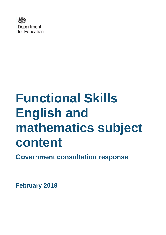

# **Functional Skills English and mathematics subject content**

**Government consultation response**

**February 2018**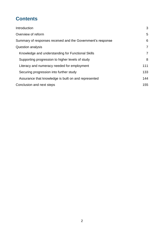# **Contents**

| Introduction                                                | 3              |
|-------------------------------------------------------------|----------------|
| Overview of reform                                          | 5              |
| Summary of responses received and the Government's response | 6              |
| Question analysis                                           | 7              |
| Knowledge and understanding for Functional Skills           | $\overline{7}$ |
| Supporting progression to higher levels of study            | 8              |
| Literacy and numeracy needed for employment                 | 111            |
| Securing progression into further study                     | 133            |
| Assurance that knowledge is built on and represented        | 144            |
| Conclusion and next steps                                   | 155            |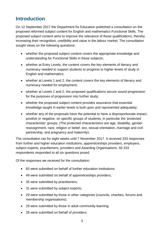# <span id="page-2-0"></span>**Introduction**

On 12 September 2017 the Department for Education published a consultation on the proposed reformed subject content for English and mathematics Functional Skills. The proposed subject content aims to improve the relevance of these qualifications, thereby increasing their recognition, credibility and value in the labour market. The consultation sought views on the following questions:

- whether the proposed subject content covers the appropriate knowledge and understanding for Functional Skills in these subjects;
- whether at Entry Levels, the content covers the key elements of literacy and numeracy needed to support students to progress to higher levels of study in English and mathematics;
- whether at Levels 1 and 2, the content covers the key elements of literacy and numeracy needed for employment;
- whether at Levels 1 and 2, the proposed qualifications secure sound progression for the purposes of progression into further study;
- whether the proposed subject content provides assurance that essential knowledge taught in earlier levels is built upon and represented adequately;
- whether any of the proposals have the potential to have a disproportionate impact, positive or negative, on specific groups of students, in particular the 'protected characteristic' groups. (The protected characteristics are age, disability, gender reassignment, race, religion or belief, sex, sexual orientation, marriage and civil partnership, and pregnancy and maternity).

The consultation ran for eight weeks until 7 November 2017. It received 333 responses from further and higher education institutions, apprenticeships providers, employers, subject experts, practitioners, providers and Awarding Organisations. All 333 respondents responded to all six questions posed.

Of the responses we received for the consultation:

- 83 were submitted on behalf of further education institutions;
- 49 were submitted on behalf of apprenticeships providers;
- 35 were submitted by practitioners;
- 31 were submitted by subject experts;
- 29 were submitted by those in other categories (councils, charities, forums and membership organisations);
- 29 were submitted by those in adult community learning;
- 28 were submitted on behalf of providers;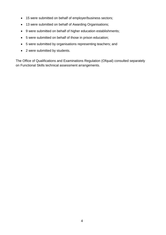- 15 were submitted on behalf of employer/business sectors;
- 13 were submitted on behalf of Awarding Organisations;
- 9 were submitted on behalf of higher education establishments;
- 5 were submitted on behalf of those in prison education;
- 5 were submitted by organisations representing teachers; and
- 2 were submitted by students.

The Office of Qualifications and Examinations Regulation (Ofqual) consulted separately on Functional Skills technical assessment arrangements.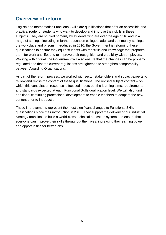## <span id="page-4-0"></span>**Overview of reform**

English and mathematics Functional Skills are qualifications that offer an accessible and practical route for students who want to develop and improve their skills in these subjects. They are studied primarily by students who are over the age of 16 and in a range of settings, including in further education colleges, adult and community settings, the workplace and prisons. Introduced in 2010, the Government is reforming these qualifications to ensure they equip students with the skills and knowledge that prepares them for work and life, and to improve their recognition and credibility with employers. Working with Ofqual, the Government will also ensure that the changes can be properly regulated and that the current regulations are tightened to strengthen comparability between Awarding Organisations.

As part of the reform process, we worked with sector stakeholders and subject experts to review and revise the content of these qualifications. The revised subject content – on which this consultation response is focused – sets out the learning aims, requirements and standards expected at each Functional Skills qualification level. We will also fund additional continuing professional development to enable teachers to adapt to the new content prior to introduction.

These improvements represent the most significant changes to Functional Skills qualifications since their introduction in 2010. They support the delivery of our Industrial Strategy ambitions to build a world-class technical education system and ensure that everyone can improve their skills throughout their lives, increasing their earning power and opportunities for better jobs.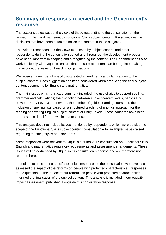## <span id="page-5-0"></span>**Summary of responses received and the Government's response**

The sections below set out the views of those responding to the consultation on the revised English and mathematics Functional Skills subject content. It also outlines the decisions that have been taken to finalise the content in these subjects.

The written responses and the views expressed by subject experts and other respondents during the consultation period and throughout the development process have been important in shaping and strengthening the content. The Department has also worked closely with Ofqual to ensure that the subject content can be regulated, taking into account the views of Awarding Organisations.

We received a number of specific suggested amendments and clarifications to the subject content. Each suggestion has been considered when producing the final subject content documents for English and mathematics.

The main issues which attracted comment included: the use of aids to support spelling, grammar and calculations; the distinction between subject content levels, particularly between Entry Level 3 and Level 1; the number of guided learning hours; and the inclusion of spelling lists based on a structured teaching of phonics approach for the reading and writing English subject content at Entry Levels. These concerns have been addressed in detail further within this response.

This analysis does not include issues mentioned by respondents which were outside the scope of the Functional Skills subject content consultation – for example, issues raised regarding teaching styles and standards.

Some responses were relevant to Ofqual's autumn 2017 consultation on Functional Skills English and mathematics regulatory requirements and assessment arrangements. These issues will be addressed by Ofqual in its consultation response and are therefore not reported here.

In addition to considering specific technical responses to the consultation, we have also assessed the impact of the reforms on people with protected characteristics. Responses to the question on the impact of our reforms on people with protected characteristics informed the finalisation of the subject content. This analysis is included in our equality impact assessment, published alongside this consultation response.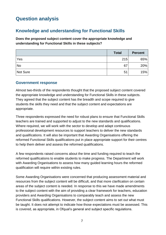# <span id="page-6-0"></span>**Question analysis**

## <span id="page-6-1"></span>**Knowledge and understanding for Functional Skills**

**Does the proposed subject content cover the appropriate knowledge and understanding for Functional Skills in these subjects?**

|           | <b>Total</b> | <b>Percent</b> |
|-----------|--------------|----------------|
| Yes       | 215          | 65%            |
| <b>No</b> | 67           | 20%            |
| Not Sure  | 51           | 15%            |

#### **Government response**

Almost two-thirds of the respondents thought that the proposed subject content covered the appropriate knowledge and understanding for Functional Skills in these subjects. They agreed that the subject content has the breadth and scope required to give students the skills they need and that the subject content and expectations are appropriate.

Three respondents expressed the need for robust plans to ensure that Functional Skills teachers are trained and supported to adjust to the new standards and qualifications. Where required, we will work with the sector to develop and adapt continuous professional development resources to support teachers to deliver the new standards and qualifications. It will also be important that Awarding Organisations offering the reformed Functional Skills qualifications put in place appropriate support for their centres to help them deliver and assess the reformed qualifications.

A few respondents raised concerns about the time and funding required to teach the reformed qualifications to enable students to make progress. The Department will work with Awarding Organisations to assess how many guided learning hours the reformed qualification will require within existing rules.

Some Awarding Organisations were concerned that producing assessment material and resources from the subject content will be difficult, and that more clarification on certain areas of the subject content is needed. In response to this we have made amendments to the subject content with the aim of providing a clear framework for teachers, education providers and Awarding Organisations to comparably teach and assess the new Functional Skills qualifications. However, the subject content aims to set out what must be taught. It does not attempt to indicate how those expectations must be assessed. This is covered, as appropriate, in Ofqual's general and subject specific regulations.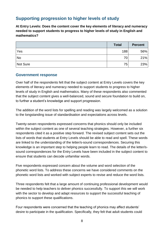## <span id="page-7-0"></span>**Supporting progression to higher levels of study**

**At Entry Levels: Does the content cover the key elements of literacy and numeracy needed to support students to progress to higher levels of study in English and mathematics?**

|           | <b>Total</b> | <b>Percent</b> |
|-----------|--------------|----------------|
| Yes       | 188          | 56%            |
| <b>No</b> | 70           | 21%            |
| Not Sure  | 75           | 23%            |

#### **Government response**

Over half of the respondents felt that the subject content at Entry Levels covers the key elements of literacy and numeracy needed to support students to progress to higher levels of study in English and mathematics. Many of these respondents also commented that the subject content gives a well-balanced, sound and secure foundation to build on, to further a student's knowledge and support progression.

The addition of the word lists for spelling and reading was largely welcomed as a solution to the longstanding issue of standardisation and expectations across levels.

Twenty-seven respondents expressed concerns that phonics should only be included within the subject content as one of several teaching strategies. However, a further six respondents cited it as a positive step forward. The revised subject content sets out the lists of words that students at Entry Levels should be able to read and spell. These words are linked to the understanding of the letter/s-sound correspondences. Securing this knowledge is an important step to helping people learn to read. The details of the letter/ssound correspondences for the Entry Levels have been included in the subject content to ensure that students can decode unfamiliar words.

Five respondents expressed concern about the volume and word selection of the phonetic word lists. To address these concerns we have considered comments on the phonetic word lists and worked with subject experts to revise and reduce the word lists.

Three respondents felt that a large amount of continuing professional development would be needed to help teachers to deliver phonics successfully. To support this we will work with the sector to develop and adapt resources to support the successful teaching of phonics to support these qualifications.

Four respondents were concerned that the teaching of phonics may affect students' desire to participate in the qualification. Specifically, they felt that adult students could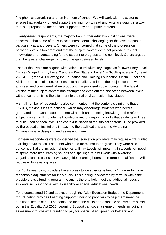find phonics patronising and remind them of school. We will work with the sector to ensure that adults who need support learning how to read and write are taught in a way that is appropriate to their needs, supported by appropriate materials.

Twenty-seven respondents, the majority from further education institutions, were concerned that some of the subject content seems challenging for the level proposed, particularly at Entry Levels. Others were concerned that some of the progression between levels is too great and that the subject content does not provide sufficient knowledge or understanding for the student to progress to the next level. Others argued that the greater challenge narrowed the gap between levels.

Each of the levels are aligned with national curriculum key stages as follows: Entry Level 1 – Key Stage 1; Entry Level 2 and 3 – Key Stage 2; Level 1 – GCSE grade 3 to 1; Level 2 – GCSE grade 4. Following the Education and Training Foundation's initial Functional Skills reform consultation, responses to an earlier version of the subject content were analysed and considered when producing the proposed subject content. The latest version of the subject content has attempted to even out the distinction between levels, without compromising the alignment to the national curriculum key stages.

A small number of respondents also commented that the content is similar to that of GCSEs, making it less 'functional', which may discourage students who need a graduated approach to support them with their underpinning knowledge. The reformed subject content will provide the knowledge and underpinning skills that students will need to build upon at each level. The contextualisation of the subject content will be provided by the education institutions in teaching the qualifications and the Awarding Organisations in designing and assessing them.

Eighteen respondents were concerned that education providers may require extra guided learning hours to assist students who need more time to progress. They were also concerned that the inclusion of phonics at Entry Levels will mean that students will need to spend more time learning sounds and spellings. We will work with Awarding Organisations to assess how many guided learning hours the reformed qualification will require within existing rules.

For 16-19 year olds, providers have access to 'disadvantage funding' in order to make reasonable adjustments for individuals. This funding is allocated by formula within the providers basic funding programme and is there to help meet the additional needs of students including those with a disability or special educational needs.

For students aged 19 and above, through the Adult Education Budget, the Department for Education provides Learning Support funding to providers to help them meet the additional needs of adult students and meet the costs of reasonable adjustments as set out in the Equality Act 2010. Learning Support can cover a range of needs including an assessment for dyslexia, funding to pay for specialist equipment or helpers; and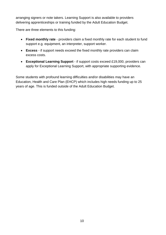arranging signers or note takers. Learning Support is also available to providers delivering apprenticeships or training funded by the Adult Education Budget.

There are three elements to this funding:

- **Fixed monthly rate** providers claim a fixed monthly rate for each student to fund support e.g. equipment, an interpreter, support worker.
- **Excess** if support needs exceed the fixed monthly rate providers can claim excess costs.
- **Exceptional Learning Support** if support costs exceed £19,000, providers can apply for Exceptional Learning Support, with appropriate supporting evidence.

<span id="page-9-0"></span>Some students with profound learning difficulties and/or disabilities may have an Education, Health and Care Plan (EHCP) which includes high needs funding up to 25 years of age. This is funded outside of the Adult Education Budget.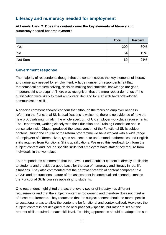## **Literacy and numeracy needed for employment**

**At Levels 1 and 2: Does the content cover the key elements of literacy and numeracy needed for employment?**

|           | <b>Total</b> | <b>Percent</b> |
|-----------|--------------|----------------|
| Yes       | 200          | 60%            |
| <b>No</b> | 64           | 19%            |
| Not Sure  | 69           | 21%            |

#### **Government response**

The majority of respondents thought that the content covers the key elements of literacy and numeracy needed for employment. A large number of respondents felt that mathematical problem solving, decision-making and statistical knowledge are good, important skills to acquire. There was recognition that the more robust demands of the qualification were likely to meet employers' demand for staff with better-developed communication skills.

A specific comment showed concern that although the focus on employer needs in reforming the Functional Skills qualifications is welcome, there is no evidence of how the new proposals might match the whole spectrum of UK employer workplace requirements. The Department, working closely with the Education and Training Foundation and in consultation with Ofqual, produced the latest version of the Functional Skills subject content. During the course of the reform programme we have worked with a wide range of employers of different sizes, types and sectors to understand mathematics and English skills required from Functional Skills qualifications. We used this feedback to inform the subject content and include specific skills that employers have stated they require from individuals in the workplace.

Four respondents commented that the Level 1 and 2 subject content is directly applicable to students and provides a good basis for the use of numeracy and literacy in real life situations. They also commented that the narrower breadth of content compared to a GCSE and the functional nature of the assessment in contextualised scenarios makes the Functional Skills courses appealing to students.

One respondent highlighted the fact that every sector of industry has different requirements and that the subject content is too generic and therefore does not meet all of these requirements. They requested that the subject content should be more specific to vocational areas to allow the content to be functional and contextualised. However, the subject content is not designed to be occupationally-specific, but rather to set out the broader skills required at each skill level. Teaching approaches should be adapted to suit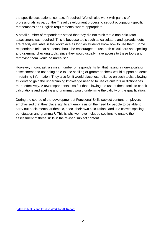the specific occupational context, if required. We will also work with panels of professionals as part of the T level development process to set out occupation-specific mathematics and English requirements, where appropriate.

A small number of respondents stated that they did not think that a non-calculator assessment was required. This is because tools such as calculators and spreadsheets are readily available in the workplace as long as students know how to use them. Some respondents felt that students should be encouraged to use both calculators and spelling and grammar checking tools, since they would usually have access to these tools and removing them would be unrealistic.

However, in contrast, a similar number of respondents felt that having a non-calculator assessment and not being able to use spelling or grammar check would support students in retaining information. They also felt it would place less reliance on such tools, allowing students to gain the underpinning knowledge needed to use calculators or dictionaries more effectively. A few respondents also felt that allowing the use of these tools to check calculations and spelling and grammar, would undermine the validity of the qualification.

<span id="page-11-0"></span>During the course of the development of Functional Skills subject content, employers emphasised that they place significant emphasis on the need for people to be able to carry out basic mental arithmetic, check their own calculations and use correct spelling, punctuation and grammar<sup>1</sup>. This is why we have included sections to enable the assessment of these skills in the revised subject content.

1

<sup>1</sup> [Making Maths and English Work for All Report](http://www.et-foundation.co.uk/wp-content/uploads/2015/04/Making-maths-and-English-work-for-all-25_03_2015002.pdf)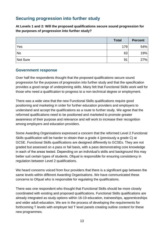## **Securing progression into further study**

**At Levels 1 and 2: Will the proposed qualifications secure sound progression for the purposes of progression into further study?**

|           | <b>Total</b> | <b>Percent</b> |
|-----------|--------------|----------------|
| Yes       | 179          | 54%            |
| <b>No</b> | 63           | 19%            |
| Not Sure  | 91           | 27%            |

#### **Government response**

Over half the respondents thought that the proposed qualifications secure sound progression for the purposes of progression into further study and that the specification provides a good range of underpinning skills. Many felt that Functional Skills work well for those who need a qualification to progress to a non-technical degree or employment.

There was a wide view that the new Functional Skills qualifications require good positioning and marketing in order for further education providers and employers to understand and accept the qualifications as a route to further study. We agree that the reformed qualifications need to be positioned and marketed to promote greater awareness of their purpose and relevance and will work to increase their recognition among employers and education providers.

Some Awarding Organisations expressed a concern that the reformed Level 2 Functional Skills qualification will be harder to obtain than a grade 4 (previously a grade C) at GCSE. Functional Skills qualifications are designed differently to GCSEs. They are not graded but assessed on a pass or fail basis, with a pass demonstrating core knowledge in each of the areas tested. Depending on an individual's skills and background this may better suit certain types of students. Ofqual is responsible for ensuring consistency in regulation between Level 2 qualifications.

We heard concerns voiced from four providers that there is a significant gap between the same levels within different Awarding Organisations. We have communicated these concerns to Ofqual who is responsible for regulating the qualifications.

There was one respondent who thought that Functional Skills should be more closely coordinated with existing and proposed qualifications. Functional Skills qualifications are already integrated as study options within 16-19 education, traineeships, apprenticeships and wider adult education. We are in the process of developing the requirements for forthcoming T levels with employer led T level panels creating outline content for these new programmes.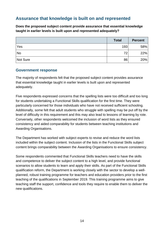## <span id="page-13-0"></span>**Assurance that knowledge is built on and represented**

**Does the proposed subject content provide assurance that essential knowledge taught in earlier levels is built upon and represented adequately?**

|           | <b>Total</b> | <b>Percent</b> |
|-----------|--------------|----------------|
| Yes       | 193          | 58%            |
| <b>No</b> | 72           | 22%            |
| Not Sure  | 86           | 20%            |

#### **Government response**

The majority of respondents felt that the proposed subject content provides assurance that essential knowledge taught in earlier levels is built upon and represented adequately.

Five respondents expressed concerns that the spelling lists were too difficult and too long for students undertaking a Functional Skills qualification for the first time. They were particularly concerned for those individuals who have not received sufficient schooling. Additionally, some felt that adult students who struggle with spelling may be put off by the level of difficulty in this requirement and this may also lead to lessons of learning by rote. Conversely, other respondents welcomed the inclusion of word lists as they ensured consistency and aided comparability for students between teaching institutions and Awarding Organisations.

The Department has worked with subject experts to revise and reduce the word lists included within the subject content. Inclusion of the lists in the Functional Skills subject content brings comparability between the Awarding Organisations to ensure consistency.

Some respondents commented that Functional Skills teachers need to have the skills and competence to deliver the subject content to a high level, and provide functional scenarios to allow students to learn and apply their skills. As part of the Functional Skills qualification reform, the Department is working closely with the sector to develop a wellplanned, robust training programme for teachers and education providers prior to the first teaching of the qualifications in September 2019. This training programme aims to give teaching staff the support, confidence and tools they require to enable them to deliver the new qualifications.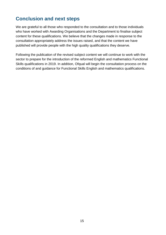# <span id="page-14-0"></span>**Conclusion and next steps**

We are grateful to all those who responded to the consultation and to those individuals who have worked with Awarding Organisations and the Department to finalise subject content for these qualifications. We believe that the changes made in response to the consultation appropriately address the issues raised, and that the content we have published will provide people with the high quality qualifications they deserve.

Following the publication of the revised subject content we will continue to work with the sector to prepare for the introduction of the reformed English and mathematics Functional Skills qualifications in 2019. In addition, Ofqual will begin the consultation process on the conditions of and guidance for Functional Skills English and mathematics qualifications.